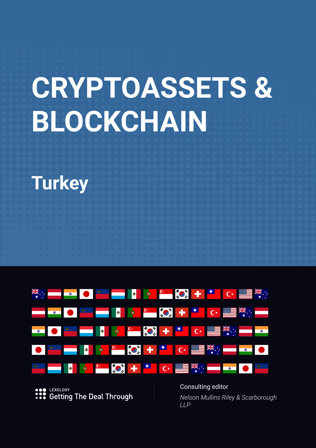# **CRYPTOASSETS & BLOCKCHAIN**

# **Turkey**



**LEXOLOGY Getting The Deal Through**  Consulting editor *Nelson Mullins Riley & Scarborough LLP*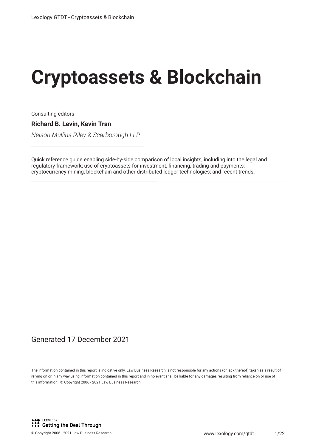# **Cryptoassets & Blockchain**

Consulting editors

**Richard B. Levin, Kevin Tran**

*Nelson Mullins Riley & Scarborough LLP*

Quick reference guide enabling side-by-side comparison of local insights, including into the legal and regulatory framework; use of cryptoassets for investment, fnancing, trading and payments; cryptocurrency mining; blockchain and other distributed ledger technologies; and recent trends.

#### Generated 17 December 2021

The information contained in this report is indicative only. Law Business Research is not responsible for any actions (or lack thereof) taken as a result of relying on or in any way using information contained in this report and in no event shall be liable for any damages resulting from reliance on or use of this information. © Copyright 2006 - 2021 Law Business Research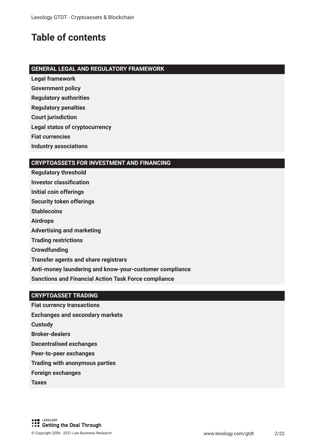## **Table of contents**

#### **GENERAL LEGAL AND REGULATORY FRAMEWORK**

- **Legal framework**
- **Government policy**
- **Regulatory authorities**
- **Regulatory penalties**
- **Court jurisdiction**
- **Legal status of cryptocurrency**
- **Fiat currencies**
- **Industry associations**

#### **CRYPTOASSETS FOR INVESTMENT AND FINANCING**

**Regulatory threshold Investor classifcation Initial coin offerings Security token offerings Stablecoins Airdrops Advertising and marketing Trading restrictions Crowdfunding Transfer agents and share registrars Anti-money laundering and know-your-customer compliance Sanctions and Financial Action Task Force compliance**

#### **CRYPTOASSET TRADING**

- **Fiat currency transactions Exchanges and secondary markets Custody Broker-dealers Decentralised exchanges Peer-to-peer exchanges Trading with anonymous parties Foreign exchanges Taxes**
- LEXOLOGY **SOME LEXOLOGY**<br> **Cetting the Deal Through**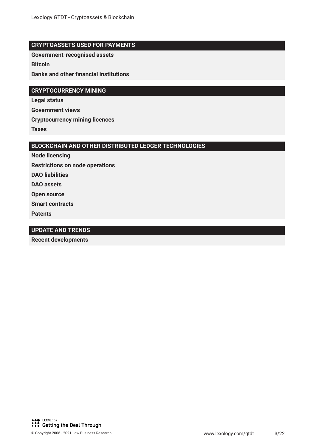#### **CRYPTOASSETS USED FOR PAYMENTS**

**Government-recognised assets**

**Bitcoin**

**Banks and other fnancial institutions**

#### **CRYPTOCURRENCY MINING**

**Legal status Government views Cryptocurrency mining licences Taxes**

#### **BLOCKCHAIN AND OTHER DISTRIBUTED LEDGER TECHNOLOGIES**

**Node licensing**

**Restrictions on node operations**

**DAO liabilities**

**DAO assets**

**Open source**

**Smart contracts**

**Patents**

#### **UPDATE AND TRENDS**

**Recent developments**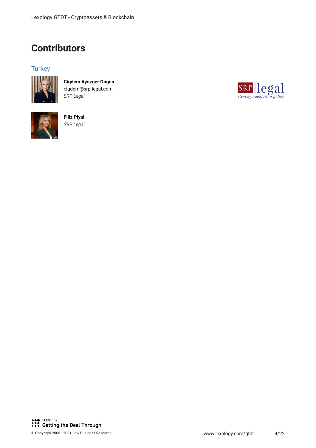## **Contributors**

### **Turkey**



**Cigdem Ayozger Ongun** cigdem@srp-legal.com *SRP Legal*



**Filiz Piyal** *SRP Legal*

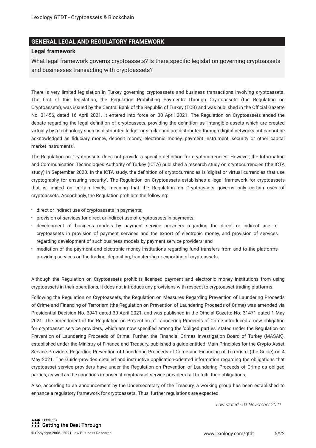#### **GENERAL LEGAL AND REGULATORY FRAMEWORK**

#### **Legal framework**

What legal framework governs cryptoassets? Is there specifc legislation governing cryptoassets and businesses transacting with cryptoassets?

There is very limited legislation in Turkey governing cryptoassets and business transactions involving cryptoassets. The frst of this legislation, the Regulation Prohibiting Payments Through Cryptoassets (the Regulation on Cryptoassets), was issued by the Central Bank of the Republic of Turkey (TCB) and was published in the Official Gazette No. 31456, dated 16 April 2021. It entered into force on 30 April 2021. The Regulation on Cryptoassets ended the debate regarding the legal defnition of cryptoassets, providing the defnition as 'intangible assets which are created virtually by a technology such as distributed ledger or similar and are distributed through digital networks but cannot be acknowledged as fduciary money, deposit money, electronic money, payment instrument, security or other capital market instruments'.

The Regulation on Cryptoassets does not provide a specifc defnition for cryptocurrencies. However, the Information and Communication Technologies Authority of Turkey (ICTA) published a research study on cryptocurrencies (the ICTA study) in September 2020. In the ICTA study, the defnition of cryptocurrencies is 'digital or virtual currencies that use cryptography for ensuring security'. The Regulation on Cryptoassets establishes a legal framework for cryptoassets that is limited on certain levels, meaning that the Regulation on Cryptoassets governs only certain uses of cryptoassets. Accordingly, the Regulation prohibits the following:

- direct or indirect use of cryptoassets in payments;
- provision of services for direct or indirect use of cryptoassets in payments;
- development of business models by payment service providers regarding the direct or indirect use of cryptoassets in provision of payment services and the export of electronic money, and provision of services regarding development of such business models by payment service providers; and
- mediation of the payment and electronic money institutions regarding fund transfers from and to the platforms providing services on the trading, depositing, transferring or exporting of cryptoassets.

Although the Regulation on Cryptoassets prohibits licensed payment and electronic money institutions from using cryptoassets in their operations, it does not introduce any provisions with respect to cryptoasset trading platforms.

Following the Regulation on Cryptoassets, the Regulation on Measures Regarding Prevention of Laundering Proceeds of Crime and Financing of Terrorism (the Regulation on Prevention of Laundering Proceeds of Crime) was amended via Presidential Decision No. 3941 dated 30 April 2021, and was published in the Official Gazette No. 31471 dated 1 May 2021. The amendment of the Regulation on Prevention of Laundering Proceeds of Crime introduced a new obligation for cryptoasset service providers, which are now specifed among the 'obliged parties' stated under the Regulation on Prevention of Laundering Proceeds of Crime. Further, the Financial Crimes Investigation Board of Turkey (MASAK), established under the Ministry of Finance and Treasury, published a guide entitled 'Main Principles for the Crypto Asset Service Providers Regarding Prevention of Laundering Proceeds of Crime and Financing of Terrorism' (the Guide) on 4 May 2021. The Guide provides detailed and instructive application-oriented information regarding the obligations that cryptoasset service providers have under the Regulation on Prevention of Laundering Proceeds of Crime as obliged parties, as well as the sanctions imposed if cryptoasset service providers fail to fulfl their obligations.

Also, according to an announcement by the Undersecretary of the Treasury, a working group has been established to enhance a regulatory framework for cryptoassets. Thus, further regulations are expected.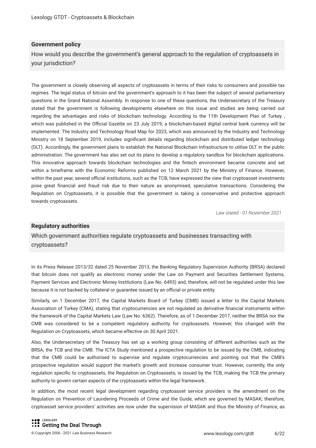#### **Government policy**

How would you describe the government's general approach to the regulation of cryptoassets in your jurisdiction?

The government is closely observing all aspects of cryptoassets in terms of their risks to consumers and possible tax regimes. The legal status of bitcoin and the government's approach to it has been the subject of several parliamentary questions in the Grand National Assembly. In response to one of these questions, the Undersecretary of the Treasury stated that the government is following developments elsewhere on this issue and studies are being carried out regarding the advantages and risks of blockchain technology. According to the 11th Development Plan of Turkey , which was published in the Official Gazette on 23 July 2019, a blockchain-based digital central bank currency will be implemented. The Industry and Technology Road Map for 2023, which was announced by the Industry and Technology Ministry on 18 September 2019, includes signifcant details regarding blockchain and distributed ledger technology (DLT). Accordingly, the government plans to establish the National Blockchain Infrastructure to utilise DLT in the public administration. The government has also set out its plans to develop a regulatory sandbox for blockchain applications. This innovative approach towards blockchain technologies and the fntech environment became concrete and set within a timeframe with the Economic Reforms published on 12 March 2021 by the Ministry of Finance. However, within the past year, several official institutions, such as the TCB, have expressed the view that cryptoasset investments pose great fnancial and fraud risk due to their nature as anonymised, speculative transactions. Considering the Regulation on Cryptoassets, it is possible that the government is taking a conservative and protective approach towards cryptoassets.

*Law stated - 01 November 2021*

#### **Regulatory authorities**

Which government authorities regulate cryptoassets and businesses transacting with cryptoassets?

In its Press Release 2013/32 dated 25 November 2013, the Banking Regulatory Supervision Authority (BRSA) declared that bitcoin does not qualify as electronic money under the Law on Payment and Securities Settlement Systems, Payment Services and Electronic Money Institutions (Law No. 6493) and, therefore, will not be regulated under this law because it is not backed by collateral or quarantee issued by an official or private entity.

Similarly, on 1 December 2017, the Capital Markets Board of Turkey (CMB) issued a letter to the Capital Markets Association of Turkey (CMA), stating that cryptocurrencies are not regulated as derivative fnancial instruments within the framework of the Capital Markets Law (Law No. 6362). Therefore, as of 1 December 2017, neither the BRSA nor the CMB was considered to be a competent regulatory authority for cryptoassets. However, this changed with the Regulation on Cryptoassets, which became effective on 30 April 2021.

Also, the Undersecretary of the Treasury has set up a working group consisting of different authorities such as the BRSA, the TCB and the CMB. The ICTA Study mentioned a prospective regulation to be issued by the CMB, indicating that the CMB could be authorised to supervise and regulate cryptocurrencies and pointing out that the CMB's prospective regulation would support the market's growth and increase consumer trust. However, currently, the only regulation specifc to cryptoassets, the Regulation on Cryptoassets, is issued by the TCB, making the TCB the primary authority to govern certain aspects of the cryptoassets within the legal framework.

In addition, the most recent legal development regarding cryptoasset service providers is the amendment on the Regulation on Prevention of Laundering Proceeds of Crime and the Guide, which are governed by MASAK; therefore, cryptoasset service providers' activities are now under the supervision of MASAK and thus the Ministry of Finance, as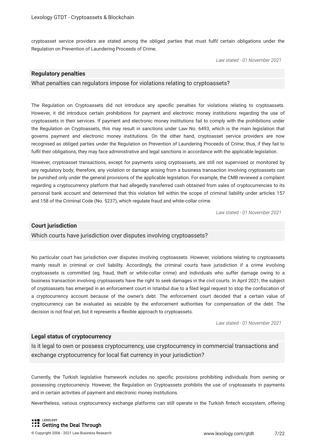cryptoasset service providers are stated among the obliged parties that must fulfl certain obligations under the Regulation on Prevention of Laundering Proceeds of Crime.

*Law stated - 01 November 2021*

#### **Regulatory penalties**

What penalties can regulators impose for violations relating to cryptoassets?

The Regulation on Cryptoassets did not introduce any specifc penalties for violations relating to cryptoassets. However, it did introduce certain prohibitions for payment and electronic money institutions regarding the use of cryptoassets in their services. If payment and electronic money institutions fail to comply with the prohibitions under the Regulation on Cryptoassets, this may result in sanctions under Law No. 6493, which is the main legislation that governs payment and electronic money institutions. On the other hand, cryptoasset service providers are now recognised as obliged parties under the Regulation on Prevention of Laundering Proceeds of Crime; thus, if they fail to fulfil their obligations, they may face administrative and legal sanctions in accordance with the applicable legislation.

However, cryptoasset transactions, except for payments using cryptoassets, are still not supervised or monitored by any regulatory body; therefore, any violation or damage arising from a business transaction involving cryptoassets can be punished only under the general provisions of the applicable legislation. For example, the CMB reviewed a complaint regarding a cryptocurrency platform that had allegedly transferred cash obtained from sales of cryptocurrencies to its personal bank account and determined that this violation fell within the scope of criminal liability under articles 157 and 158 of the Criminal Code (No. 5237), which regulate fraud and white-collar crime.

*Law stated - 01 November 2021*

#### **Court jurisdiction**

Which courts have jurisdiction over disputes involving cryptoassets?

No particular court has jurisdiction over disputes involving cryptoassets. However, violations relating to cryptoassets mainly result in criminal or civil liability. Accordingly, the criminal courts have jurisdiction if a crime involving cryptoassets is committed (eg, fraud, theft or white-collar crime) and individuals who suffer damage owing to a business transaction involving cryptoassets have the right to seek damages in the civil courts. In April 2021, the subject of cryptoassets has emerged in an enforcement court in Istanbul due to a fled legal request to stop the confscation of a cryptocurrency account because of the owner's debt. The enforcement court decided that a certain value of cryptocurrency can be evaluated as seizable by the enforcement authorities for compensation of the debt. The decision is not fnal yet, but it represents a fexible approach to cryptoassets.

*Law stated - 01 November 2021*

#### **Legal status of cryptocurrency**

Is it legal to own or possess cryptocurrency, use cryptocurrency in commercial transactions and exchange cryptocurrency for local fat currency in your jurisdiction?

Currently, the Turkish legislative framework includes no specifc provisions prohibiting individuals from owning or possessing cryptocurrency. However, the Regulation on Cryptoassets prohibits the use of cryptoassets in payments and in certain activities of payment and electronic money institutions.

Nevertheless, various cryptocurrency exchange platforms can still operate in the Turkish fntech ecosystem, offering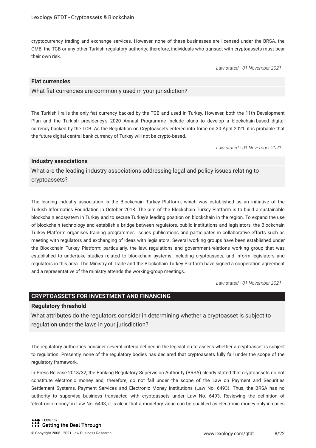cryptocurrency trading and exchange services. However, none of these businesses are licensed under the BRSA, the CMB, the TCB or any other Turkish regulatory authority; therefore, individuals who transact with cryptoassets must bear their own risk.

*Law stated - 01 November 2021*

#### **Fiat currencies**

What fiat currencies are commonly used in your jurisdiction?

The Turkish lira is the only fat currency backed by the TCB and used in Turkey. However, both the 11th Development Plan and the Turkish presidency's 2020 Annual Programme include plans to develop a blockchain-based digital currency backed by the TCB. As the Regulation on Cryptoassets entered into force on 30 April 2021, it is probable that the future digital central bank currency of Turkey will not be crypto-based.

*Law stated - 01 November 2021*

#### **Industry associations**

What are the leading industry associations addressing legal and policy issues relating to cryptoassets?

The leading industry association is the Blockchain Turkey Platform, which was established as an initiative of the Turkish Informatics Foundation in October 2018. The aim of the Blockchain Turkey Platform is to build a sustainable blockchain ecosystem in Turkey and to secure Turkey's leading position on blockchain in the region. To expand the use of blockchain technology and establish a bridge between regulators, public institutions and legislators, the Blockchain Turkey Platform organises training programmes, issues publications and participates in collaborative efforts such as meeting with regulators and exchanging of ideas with legislators. Several working groups have been established under the Blockchain Turkey Platform; particularly, the law, regulations and government-relations working group that was established to undertake studies related to blockchain systems, including cryptoassets, and inform legislators and regulators in this area. The Ministry of Trade and the Blockchain Turkey Platform have signed a cooperation agreement and a representative of the ministry attends the working-group meetings.

*Law stated - 01 November 2021*

#### **CRYPTOASSETS FOR INVESTMENT AND FINANCING**

#### **Regulatory threshold**

What attributes do the regulators consider in determining whether a cryptoasset is subject to regulation under the laws in your jurisdiction?

The regulatory authorities consider several criteria defned in the legislation to assess whether a cryptoasset is subject to regulation. Presently, none of the regulatory bodies has declared that cryptoassets fully fall under the scope of the regulatory framework.

In Press Release 2013/32, the Banking Regulatory Supervision Authority (BRSA) clearly stated that cryptoassets do not constitute electronic money and, therefore, do not fall under the scope of the Law on Payment and Securities Settlement Systems, Payment Services and Electronic Money Institutions (Law No. 6493). Thus, the BRSA has no authority to supervise business transacted with cryptoassets under Law No. 6493. Reviewing the defnition of 'electronic money' in Law No. 6493, it is clear that a monetary value can be qualifed as electronic money only in cases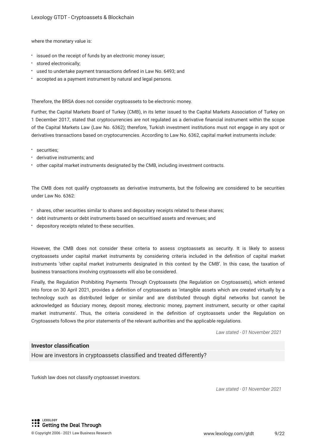where the monetary value is:

- $\cdot$  issued on the receipt of funds by an electronic money issuer;
- stored electronically;
- used to undertake payment transactions defned in Law No. 6493; and
- accepted as a payment instrument by natural and legal persons.

Therefore, the BRSA does not consider cryptoassets to be electronic money.

Further, the Capital Markets Board of Turkey (CMB), in its letter issued to the Capital Markets Association of Turkey on 1 December 2017, stated that cryptocurrencies are not regulated as a derivative fnancial instrument within the scope of the Capital Markets Law (Law No. 6362); therefore, Turkish investment institutions must not engage in any spot or derivatives transactions based on cryptocurrencies. According to Law No. 6362, capital market instruments include:

- securities;
- derivative instruments; and
- other capital market instruments designated by the CMB, including investment contracts.

The CMB does not qualify cryptoassets as derivative instruments, but the following are considered to be securities under Law No. 6362:

- shares, other securities similar to shares and depositary receipts related to these shares;
- debt instruments or debt instruments based on securitised assets and revenues; and
- depository receipts related to these securities.

However, the CMB does not consider these criteria to assess cryptoassets as security. It is likely to assess cryptoassets under capital market instruments by considering criteria included in the defnition of capital market instruments 'other capital market instruments designated in this context by the CMB'. In this case, the taxation of business transactions involving cryptoassets will also be considered.

Finally, the Regulation Prohibiting Payments Through Cryptoassets (the Regulation on Cryptoassets), which entered into force on 30 April 2021, provides a defnition of cryptoassets as 'intangible assets which are created virtually by a technology such as distributed ledger or similar and are distributed through digital networks but cannot be acknowledged as fduciary money, deposit money, electronic money, payment instrument, security or other capital market instruments'. Thus, the criteria considered in the defnition of cryptoassets under the Regulation on Cryptoassets follows the prior statements of the relevant authorities and the applicable regulations.

*Law stated - 01 November 2021*

#### **Investor classifcation**

How are investors in cryptoassets classifed and treated differently?

Turkish law does not classify cryptoasset investors.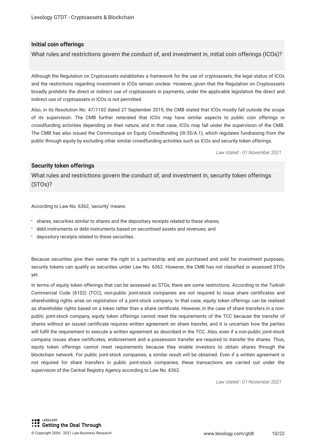#### **Initial coin offerings**

What rules and restrictions govern the conduct of, and investment in, initial coin offerings (ICOs)?

Although the Regulation on Cryptoassets establishes a framework for the use of cryptoassets, the legal status of ICOs and the restrictions regarding investment in ICOs remain unclear. However, given that the Regulation on Cryptoassets broadly prohibits the direct or indirect use of cryptoassets in payments, under the applicable legislation the direct and indirect use of cryptoassets in ICOs is not permitted.

Also, in its Resolution No. 47/1102 dated 27 September 2019, the CMB stated that ICOs mostly fall outside the scope of its supervision. The CMB further reiterated that ICOs may have similar aspects to public coin offerings or crowdfunding activities depending on their nature, and in that case, ICOs may fall under the supervision of the CMB. The CMB has also issued the Communiqué on Equity Crowdfunding (III-35/A.1), which regulates fundraising from the public through equity by excluding other similar crowdfunding activities such as ICOs and security token offerings.

*Law stated - 01 November 2021*

#### **Security token offerings**

What rules and restrictions govern the conduct of, and investment in, security token offerings (STOs)?

According to Law No. 6362, 'security' means:

- shares, securities similar to shares and the depositary receipts related to these shares;
- debt instruments or debt instruments based on securitised assets and revenues; and
- depository receipts related to these securities.

Because securities give their owner the right to a partnership and are purchased and sold for investment purposes, security tokens can qualify as securities under Law No. 6362. However, the CMB has not classifed or assessed STOs yet.

In terms of equity token offerings that can be assessed as STOs, there are some restrictions. According to the Turkish Commercial Code (6102) (TCC), non-public joint-stock companies are not required to issue share certifcates and shareholding rights arise on registration of a joint-stock company. In that case, equity token offerings can be realised as shareholder rights based on a token rather than a share certifcate. However, in the case of share transfers in a nonpublic joint-stock company, equity token offerings cannot meet the requirements of the TCC because the transfer of shares without an issued certifcate requires written agreement on share transfer, and it is uncertain how the parties will fulfl the requirement to execute a written agreement as described in the TCC. Also, even if a non-public joint-stock company issues share certifcates, endorsement and a possession transfer are required to transfer the shares. Thus, equity token offerings cannot meet requirements because they enable investors to obtain shares through the blockchain network. For public joint-stock companies, a similar result will be obtained. Even if a written agreement is not required for share transfers in public joint-stock companies, these transactions are carried out under the supervision of the Central Registry Agency according to Law No. 6362.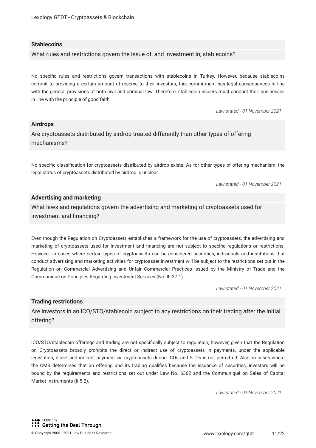#### **Stablecoins**

What rules and restrictions govern the issue of, and investment in, stablecoins?

No specifc rules and restrictions govern transactions with stablecoins in Turkey. However, because stablecoins commit to providing a certain amount of reserve to their investors, this commitment has legal consequences in line with the general provisions of both civil and criminal law. Therefore, stablecoin issuers must conduct their businesses in line with the principle of good faith.

*Law stated - 01 November 2021*

#### **Airdrops**

Are cryptoassets distributed by airdrop treated differently than other types of offering mechanisms?

No specifc classifcation for cryptoassets distributed by airdrop exists. As for other types of offering mechanism, the legal status of cryptoassets distributed by airdrop is unclear.

*Law stated - 01 November 2021*

#### **Advertising and marketing**

What laws and regulations govern the advertising and marketing of cryptoassets used for investment and fnancing?

Even though the Regulation on Cryptoassets establishes a framework for the use of cryptoassets, the advertising and marketing of cryptoassets used for investment and fnancing are not subject to specifc regulations or restrictions. However, in cases where certain types of cryptoassets can be considered securities, individuals and institutions that conduct advertising and marketing activities for cryptoasset investment will be subject to the restrictions set out in the Regulation on Commercial Advertising and Unfair Commercial Practices issued by the Ministry of Trade and the Communiqué on Principles Regarding Investment Services (No. III-37.1).

*Law stated - 01 November 2021*

#### **Trading restrictions**

Are investors in an ICO/STO/stablecoin subject to any restrictions on their trading after the initial offering?

ICO/STO/stablecoin offerings and trading are not specifcally subject to regulation; however, given that the Regulation on Cryptoassets broadly prohibits the direct or indirect use of cryptoassets in payments, under the applicable legislation, direct and indirect payment via cryptoassets during ICOs and STOs is not permitted. Also, in cases where the CMB determines that an offering and its trading qualifes because the issuance of securities, investors will be bound by the requirements and restrictions set out under Law No. 6362 and the Communiqué on Sales of Capital Market Instruments (II-5.2).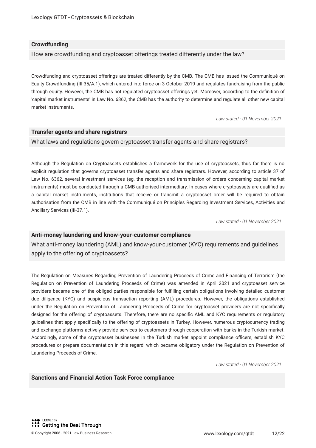#### **Crowdfunding**

How are crowdfunding and cryptoasset offerings treated differently under the law?

Crowdfunding and cryptoasset offerings are treated differently by the CMB. The CMB has issued the Communiqué on Equity Crowdfunding (III-35/A.1), which entered into force on 3 October 2019 and regulates fundraising from the public through equity. However, the CMB has not regulated cryptoasset offerings yet. Moreover, according to the defnition of 'capital market instruments' in Law No. 6362, the CMB has the authority to determine and regulate all other new capital market instruments.

*Law stated - 01 November 2021*

#### **Transfer agents and share registrars**

What laws and regulations govern cryptoasset transfer agents and share registrars?

Although the Regulation on Cryptoassets establishes a framework for the use of cryptoassets, thus far there is no explicit regulation that governs cryptoasset transfer agents and share registrars. However, according to article 37 of Law No. 6362, several investment services (eg, the reception and transmission of orders concerning capital market instruments) must be conducted through a CMB-authorised intermediary. In cases where cryptoassets are qualifed as a capital market instruments, institutions that receive or transmit a cryptoasset order will be required to obtain authorisation from the CMB in line with the Communiqué on Principles Regarding Investment Services, Activities and Ancillary Services (III-37.1).

*Law stated - 01 November 2021*

#### **Anti-money laundering and know-your-customer compliance**

What anti-money laundering (AML) and know-your-customer (KYC) requirements and guidelines apply to the offering of cryptoassets?

The Regulation on Measures Regarding Prevention of Laundering Proceeds of Crime and Financing of Terrorism (the Regulation on Prevention of Laundering Proceeds of Crime) was amended in April 2021 and cryptoasset service providers became one of the obliged parties responsible for fulflling certain obligations involving detailed customer due diligence (KYC) and suspicious transaction reporting (AML) procedures. However, the obligations established under the Regulation on Prevention of Laundering Proceeds of Crime for cryptoasset providers are not specifcally designed for the offering of cryptoassets. Therefore, there are no specifc AML and KYC requirements or regulatory guidelines that apply specifcally to the offering of cryptoassets in Turkey. However, numerous cryptocurrency trading and exchange platforms actively provide services to customers through cooperation with banks in the Turkish market. Accordingly, some of the cryptoasset businesses in the Turkish market appoint compliance officers, establish KYC procedures or prepare documentation in this regard, which became obligatory under the Regulation on Prevention of Laundering Proceeds of Crime.

*Law stated - 01 November 2021*

#### **Sanctions and Financial Action Task Force compliance**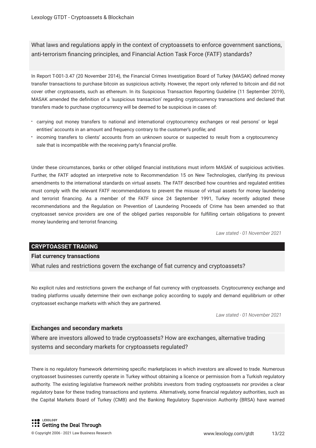What laws and regulations apply in the context of cryptoassets to enforce government sanctions, anti-terrorism fnancing principles, and Financial Action Task Force (FATF) standards?

In Report T-001-3.47 (20 November 2014), the Financial Crimes Investigation Board of Turkey (MASAK) defned money transfer transactions to purchase bitcoin as suspicious activity. However, the report only referred to bitcoin and did not cover other cryptoassets, such as ethereum. In its Suspicious Transaction Reporting Guideline (11 September 2019), MASAK amended the defnition of a 'suspicious transaction' regarding cryptocurrency transactions and declared that transfers made to purchase cryptocurrency will be deemed to be suspicious in cases of:

- carrying out money transfers to national and international cryptocurrency exchanges or real persons' or legal entities' accounts in an amount and frequency contrary to the customer's profle; and
- incoming transfers to clients' accounts from an unknown source or suspected to result from a cryptocurrency sale that is incompatible with the receiving party's fnancial profle.

Under these circumstances, banks or other obliged fnancial institutions must inform MASAK of suspicious activities. Further, the FATF adopted an interpretive note to Recommendation 15 on New Technologies, clarifying its previous amendments to the international standards on virtual assets. The FATF described how countries and regulated entities must comply with the relevant FATF recommendations to prevent the misuse of virtual assets for money laundering and terrorist fnancing. As a member of the FATF since 24 September 1991, Turkey recently adopted these recommendations and the Regulation on Prevention of Laundering Proceeds of Crime has been amended so that cryptoasset service providers are one of the obliged parties responsible for fulflling certain obligations to prevent money laundering and terrorist fnancing.

*Law stated - 01 November 2021*

#### **CRYPTOASSET TRADING**

#### **Fiat currency transactions**

What rules and restrictions govern the exchange of fat currency and cryptoassets?

No explicit rules and restrictions govern the exchange of fat currency with cryptoassets. Cryptocurrency exchange and trading platforms usually determine their own exchange policy according to supply and demand equilibrium or other cryptoasset exchange markets with which they are partnered.

*Law stated - 01 November 2021*

#### **Exchanges and secondary markets**

Where are investors allowed to trade cryptoassets? How are exchanges, alternative trading systems and secondary markets for cryptoassets regulated?

There is no regulatory framework determining specifc marketplaces in which investors are allowed to trade. Numerous cryptoasset businesses currently operate in Turkey without obtaining a licence or permission from a Turkish regulatory authority. The existing legislative framework neither prohibits investors from trading cryptoassets nor provides a clear regulatory base for these trading transactions and systems. Alternatively, some fnancial regulatory authorities, such as the Capital Markets Board of Turkey (CMB) and the Banking Regulatory Supervision Authority (BRSA) have warned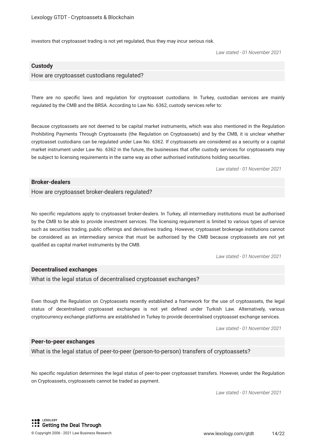investors that cryptoasset trading is not yet regulated, thus they may incur serious risk.

*Law stated - 01 November 2021*

#### **Custody**

#### How are cryptoasset custodians regulated?

There are no specifc laws and regulation for cryptoasset custodians. In Turkey, custodian services are mainly regulated by the CMB and the BRSA. According to Law No. 6362, custody services refer to:

Because cryptoassets are not deemed to be capital market instruments, which was also mentioned in the Regulation Prohibiting Payments Through Cryptoassets (the Regulation on Cryptoassets) and by the CMB, it is unclear whether cryptoasset custodians can be regulated under Law No. 6362. If cryptoassets are considered as a security or a capital market instrument under Law No. 6362 in the future, the businesses that offer custody services for cryptoassets may be subject to licensing requirements in the same way as other authorised institutions holding securities.

*Law stated - 01 November 2021*

#### **Broker-dealers**

How are cryptoasset broker-dealers regulated?

No specifc regulations apply to cryptoasset broker-dealers. In Turkey, all intermediary institutions must be authorised by the CMB to be able to provide investment services. The licensing requirement is limited to various types of service such as securities trading, public offerings and derivatives trading. However, cryptoasset brokerage institutions cannot be considered as an intermediary service that must be authorised by the CMB because cryptoassets are not yet qualifed as capital market instruments by the CMB.

*Law stated - 01 November 2021*

#### **Decentralised exchanges**

What is the legal status of decentralised cryptoasset exchanges?

Even though the Regulation on Cryptoassets recently established a framework for the use of cryptoassets, the legal status of decentralised cryptoasset exchanges is not yet defned under Turkish Law. Alternatively, various cryptocurrency exchange platforms are established in Turkey to provide decentralised cryptoasset exchange services.

*Law stated - 01 November 2021*

#### **Peer-to-peer exchanges**

What is the legal status of peer-to-peer (person-to-person) transfers of cryptoassets?

No specifc regulation determines the legal status of peer-to-peer cryptoasset transfers. However, under the Regulation on Cryptoassets, cryptoassets cannot be traded as payment.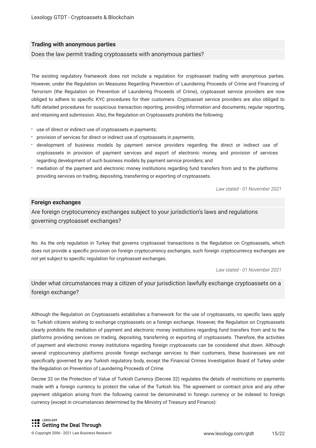#### **Trading with anonymous parties**

#### Does the law permit trading cryptoassets with anonymous parties?

The existing regulatory framework does not include a regulation for cryptoasset trading with anonymous parties. However, under the Regulation on Measures Regarding Prevention of Laundering Proceeds of Crime and Financing of Terrorism (the Regulation on Prevention of Laundering Proceeds of Crime), cryptoasset service providers are now obliged to adhere to specifc KYC procedures for their customers. Cryptoasset service providers are also obliged to fulfil detailed procedures for suspicious transaction reporting, providing information and documents, regular reporting, and retaining and submission. Also, the Regulation on Cryptoassets prohibits the following:

- use of direct or indirect use of cryptoassets in payments;
- provision of services for direct or indirect use of cryptoassets in payments;
- development of business models by payment service providers regarding the direct or indirect use of cryptoassets in provision of payment services and export of electronic money, and provision of services regarding development of such business models by payment service providers; and
- mediation of the payment and electronic money institutions regarding fund transfers from and to the platforms providing services on trading, depositing, transferring or exporting of cryptoassets.

*Law stated - 01 November 2021*

#### **Foreign exchanges**

Are foreign cryptocurrency exchanges subject to your jurisdiction's laws and regulations governing cryptoasset exchanges?

No. As the only regulation in Turkey that governs cryptoasset transactions is the Regulation on Cryptoassets, which does not provide a specifc provision on foreign cryptocurrency exchanges, such foreign cryptocurrency exchanges are not yet subject to specifc regulation for cryptoasset exchanges.

*Law stated - 01 November 2021*

#### Under what circumstances may a citizen of your jurisdiction lawfully exchange cryptoassets on a foreign exchange?

Although the Regulation on Cryptoassets establishes a framework for the use of cryptoassets, no specifc laws apply to Turkish citizens wishing to exchange cryptoassets on a foreign exchange. However, the Regulation on Cryptoassets clearly prohibits the mediation of payment and electronic money institutions regarding fund transfers from and to the platforms providing services on trading, depositing, transferring or exporting of cryptoassets. Therefore, the activities of payment and electronic money institutions regarding foreign cryptoassets can be considered shut down. Although several cryptocurrency platforms provide foreign exchange services to their customers, these businesses are not specifcally governed by any Turkish regulatory body, except the Financial Crimes Investigation Board of Turkey under the Regulation on Prevention of Laundering Proceeds of Crime.

Decree 32 on the Protection of Value of Turkish Currency (Decree 32) regulates the details of restrictions on payments made with a foreign currency to protect the value of the Turkish lira. The agreement or contract price and any other payment obligation arising from the following cannot be denominated in foreign currency or be indexed to foreign currency (except in circumstances determined by the Ministry of Treasury and Finance):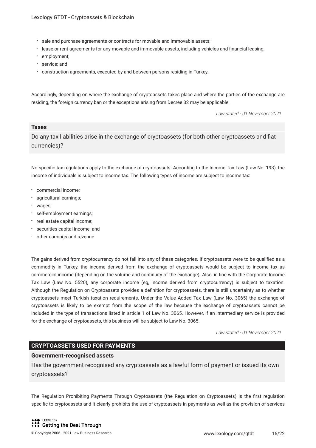- sale and purchase agreements or contracts for movable and immovable assets;
- lease or rent agreements for any movable and immovable assets, including vehicles and fnancial leasing;
- employment;
- \* service; and
- construction agreements, executed by and between persons residing in Turkey.

Accordingly, depending on where the exchange of cryptoassets takes place and where the parties of the exchange are residing, the foreign currency ban or the exceptions arising from Decree 32 may be applicable.

*Law stated - 01 November 2021*

#### **Taxes**

Do any tax liabilities arise in the exchange of cryptoassets (for both other cryptoassets and fat currencies)?

No specifc tax regulations apply to the exchange of cryptoassets. According to the Income Tax Law (Law No. 193), the income of individuals is subject to income tax. The following types of income are subject to income tax:

- commercial income;
- agricultural earnings;
- wages;
- self-employment earnings;
- real estate capital income;
- securities capital income; and
- other earnings and revenue.

The gains derived from cryptocurrency do not fall into any of these categories. If cryptoassets were to be qualifed as a commodity in Turkey, the income derived from the exchange of cryptoassets would be subject to income tax as commercial income (depending on the volume and continuity of the exchange). Also, in line with the Corporate Income Tax Law (Law No. 5520), any corporate income (eg, income derived from cryptocurrency) is subject to taxation. Although the Regulation on Cryptoassets provides a defnition for cryptoassets, there is still uncertainty as to whether cryptoassets meet Turkish taxation requirements. Under the Value Added Tax Law (Law No. 3065) the exchange of cryptoassets is likely to be exempt from the scope of the law because the exchange of cryptoassets cannot be included in the type of transactions listed in article 1 of Law No. 3065. However, if an intermediary service is provided for the exchange of cryptoassets, this business will be subject to Law No. 3065.

*Law stated - 01 November 2021*

#### **CRYPTOASSETS USED FOR PAYMENTS**

#### **Government-recognised assets**

Has the government recognised any cryptoassets as a lawful form of payment or issued its own cryptoassets?

The Regulation Prohibiting Payments Through Cryptoassets (the Regulation on Cryptoassets) is the frst regulation specifc to cryptoassets and it clearly prohibits the use of cryptoassets in payments as well as the provision of services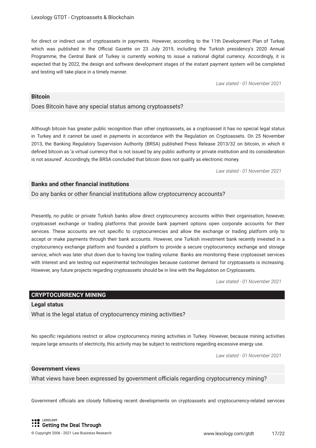for direct or indirect use of cryptoassets in payments. However, according to the 11th Development Plan of Turkey, which was published in the Official Gazette on 23 July 2019, including the Turkish presidency's 2020 Annual Programme, the Central Bank of Turkey is currently working to issue a national digital currency. Accordingly, it is expected that by 2022, the design and software development stages of the instant payment system will be completed and testing will take place in a timely manner.

*Law stated - 01 November 2021*

#### **Bitcoin**

#### Does Bitcoin have any special status among cryptoassets?

Although bitcoin has greater public recognition than other cryptoassets, as a cryptoasset it has no special legal status in Turkey and it cannot be used in payments in accordance with the Regulation on Cryptoassets. On 25 November 2013, the Banking Regulatory Supervision Authority (BRSA) published Press Release 2013/32 on bitcoin, in which it defned bitcoin as 'a virtual currency that is not issued by any public authority or private institution and its consideration is not assured'. Accordingly, the BRSA concluded that bitcoin does not qualify as electronic money.

*Law stated - 01 November 2021*

#### **Banks and other fnancial institutions**

#### Do any banks or other fnancial institutions allow cryptocurrency accounts?

Presently, no public or private Turkish banks allow direct cryptocurrency accounts within their organisation; however, cryptoasset exchange or trading platforms that provide bank payment options open corporate accounts for their services. These accounts are not specifc to cryptocurrencies and allow the exchange or trading platform only to accept or make payments through their bank accounts. However, one Turkish investment bank recently invested in a cryptocurrency exchange platform and founded a platform to provide a secure cryptocurrency exchange and storage service, which was later shut down due to having low trading volume. Banks are monitoring these cryptoasset services with interest and are testing out experimental technologies because customer demand for cryptoassets is increasing. However, any future projects regarding cryptoassets should be in line with the Regulation on Cryptoassets.

*Law stated - 01 November 2021*

#### **CRYPTOCURRENCY MINING**

#### **Legal status**

What is the legal status of cryptocurrency mining activities?

No specifc regulations restrict or allow cryptocurrency mining activities in Turkey. However, because mining activities require large amounts of electricity, this activity may be subject to restrictions regarding excessive energy use.

*Law stated - 01 November 2021*

#### **Government views**

What views have been expressed by government officials regarding cryptocurrency mining?

Government officials are closely following recent developments on cryptoassets and cryptocurrency-related services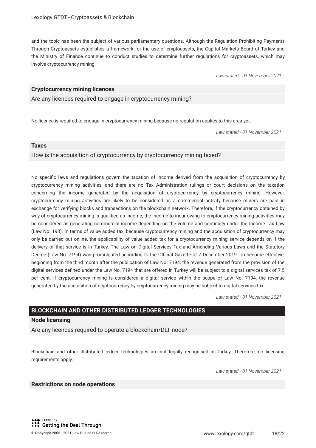and the topic has been the subject of various parliamentary questions. Although the Regulation Prohibiting Payments Through Cryptoassets establishes a framework for the use of cryptoassets, the Capital Markets Board of Turkey and the Ministry of Finance continue to conduct studies to determine further regulations for cryptoassets, which may involve cryptocurrency mining.

*Law stated - 01 November 2021*

#### **Cryptocurrency mining licences**

Are any licences required to engage in cryptocurrency mining?

No licence is required to engage in cryptocurrency mining because no regulation applies to this area yet.

*Law stated - 01 November 2021*

#### **Taxes**

How is the acquisition of cryptocurrency by cryptocurrency mining taxed?

No specifc laws and regulations govern the taxation of income derived from the acquisition of cryptocurrency by cryptocurrency mining activities, and there are no Tax Administration rulings or court decisions on the taxation concerning the income generated by the acquisition of cryptocurrency by cryptocurrency mining. However, cryptocurrency mining activities are likely to be considered as a commercial activity because miners are paid in exchange for verifying blocks and transactions on the blockchain network. Therefore, if the cryptocurrency obtained by way of cryptocurrency mining is qualifed as income, the income to incur owing to cryptocurrency mining activities may be considered as generating commercial income depending on the volume and continuity under the Income Tax Law (Law No. 193). In terms of value added tax, because cryptocurrency mining and the acquisition of cryptocurrency may only be carried out online, the applicability of value added tax for a cryptocurrency mining service depends on if the delivery of that service is in Turkey. The Law on Digital Services Tax and Amending Various Laws and the Statutory Decree (Law No. 7194) was promulgated according to the Official Gazette of 7 December 2019. To become effective, beginning from the third month after the publication of Law No. 7194, the revenue generated from the provision of the digital services defned under the Law No. 7194 that are offered in Turkey will be subject to a digital services tax of 7.5 per cent. If cryptocurrency mining is considered a digital service within the scope of Law No. 7194, the revenue generated by the acquisition of cryptocurrency by cryptocurrency mining may be subject to digital services tax.

*Law stated - 01 November 2021*

#### **BLOCKCHAIN AND OTHER DISTRIBUTED LEDGER TECHNOLOGIES**

#### **Node licensing**

Are any licences required to operate a blockchain/DLT node?

Blockchain and other distributed ledger technologies are not legally recognised in Turkey. Therefore, no licensing requirements apply.

*Law stated - 01 November 2021*

#### **Restrictions on node operations**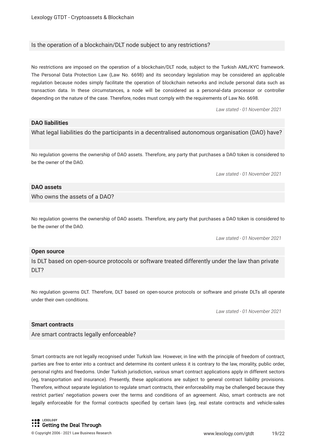#### Is the operation of a blockchain/DLT node subject to any restrictions?

No restrictions are imposed on the operation of a blockchain/DLT node, subject to the Turkish AML/KYC framework. The Personal Data Protection Law (Law No. 6698) and its secondary legislation may be considered an applicable regulation because nodes simply facilitate the operation of blockchain networks and include personal data such as transaction data. In these circumstances, a node will be considered as a personal-data processor or controller depending on the nature of the case. Therefore, nodes must comply with the requirements of Law No. 6698.

*Law stated - 01 November 2021*

#### **DAO liabilities**

What legal liabilities do the participants in a decentralised autonomous organisation (DAO) have?

No regulation governs the ownership of DAO assets. Therefore, any party that purchases a DAO token is considered to be the owner of the DAO.

*Law stated - 01 November 2021*

#### **DAO assets**

Who owns the assets of a DAO?

No regulation governs the ownership of DAO assets. Therefore, any party that purchases a DAO token is considered to be the owner of the DAO.

*Law stated - 01 November 2021*

#### **Open source**

Is DLT based on open-source protocols or software treated differently under the law than private DLT?

No regulation governs DLT. Therefore, DLT based on open-source protocols or software and private DLTs all operate under their own conditions.

*Law stated - 01 November 2021*

#### **Smart contracts**

Are smart contracts legally enforceable?

Smart contracts are not legally recognised under Turkish law. However, in line with the principle of freedom of contract, parties are free to enter into a contract and determine its content unless it is contrary to the law, morality, public order, personal rights and freedoms. Under Turkish jurisdiction, various smart contract applications apply in different sectors (eg, transportation and insurance). Presently, these applications are subject to general contract liability provisions. Therefore, without separate legislation to regulate smart contracts, their enforceability may be challenged because they restrict parties' negotiation powers over the terms and conditions of an agreement. Also, smart contracts are not legally enforceable for the formal contracts specifed by certain laws (eg, real estate contracts and vehicle-sales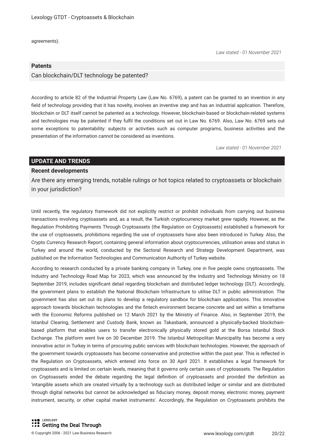agreements).

#### **Patents**

#### Can blockchain/DLT technology be patented?

According to article 82 of the Industrial Property Law (Law No. 6769), a patent can be granted to an invention in any feld of technology providing that it has novelty, involves an inventive step and has an industrial application. Therefore, blockchain or DLT itself cannot be patented as a technology. However, blockchain-based or blockchain-related systems and technologies may be patented if they fulfl the conditions set out in Law No. 6769. Also, Law No. 6769 sets out some exceptions to patentability: subjects or activities such as computer programs, business activities and the presentation of the information cannot be considered as inventions.

*Law stated - 01 November 2021*

*Law stated - 01 November 2021*

#### **UPDATE AND TRENDS**

#### **Recent developments**

Are there any emerging trends, notable rulings or hot topics related to cryptoassets or blockchain in your jurisdiction?

Until recently, the regulatory framework did not explicitly restrict or prohibit individuals from carrying out business transactions involving cryptoassets and, as a result, the Turkish cryptocurrency market grew rapidly. However, as the Regulation Prohibiting Payments Through Cryptoassets (the Regulation on Cryptoassets) established a framework for the use of cryptoassets, prohibitions regarding the use of cryptoassets have also been introduced in Turkey. Also, the Crypto Currency Research Report, containing general information about cryptocurrencies, utilisation areas and status in Turkey and around the world, conducted by the Sectoral Research and Strategy Development Department, was published on the Information Technologies and Communication Authority of Turkey website.

According to research conducted by a private banking company in Turkey, one in fve people owns cryptoassets. The Industry and Technology Road Map for 2023, which was announced by the Industry and Technology Ministry on 18 September 2019, includes signifcant detail regarding blockchain and distributed ledger technology (DLT). Accordingly, the government plans to establish the National Blockchain Infrastructure to utilise DLT in public administration. The government has also set out its plans to develop a regulatory sandbox for blockchain applications. This innovative approach towards blockchain technologies and the fntech environment became concrete and set within a timeframe with the Economic Reforms published on 12 March 2021 by the Ministry of Finance. Also, in September 2019, the Istanbul Clearing, Settlement and Custody Bank, known as Takasbank, announced a physically-backed blockchainbased platform that enables users to transfer electronically physically stored gold at the Borsa Istanbul Stock Exchange. The platform went live on 30 December 2019. The Istanbul Metropolitan Municipality has become a very innovative actor in Turkey in terms of procuring public services with blockchain technologies. However, the approach of the government towards cryptoassets has become conservative and protective within the past year. This is refected in the Regulation on Cryptoassets, which entered into force on 30 April 2021. It establishes a legal framework for cryptoassets and is limited on certain levels, meaning that it governs only certain uses of cryptoassets. The Regulation on Cryptoassets ended the debate regarding the legal defnition of cryptoassets and provided the defnition as 'intangible assets which are created virtually by a technology such as distributed ledger or similar and are distributed through digital networks but cannot be acknowledged as fduciary money, deposit money, electronic money, payment instrument, security, or other capital market instruments'. Accordingly, the Regulation on Cryptoassets prohibits the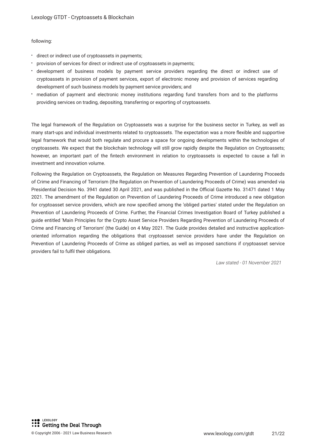#### following:

- direct or indirect use of cryptoassets in payments;
- provision of services for direct or indirect use of cryptoassets in payments;
- development of business models by payment service providers regarding the direct or indirect use of cryptoassets in provision of payment services, export of electronic money and provision of services regarding development of such business models by payment service providers; and
- mediation of payment and electronic money institutions regarding fund transfers from and to the platforms providing services on trading, depositing, transferring or exporting of cryptoassets.

The legal framework of the Regulation on Cryptoassets was a surprise for the business sector in Turkey, as well as many start-ups and individual investments related to cryptoassets. The expectation was a more fexible and supportive legal framework that would both regulate and procure a space for ongoing developments within the technologies of cryptoassets. We expect that the blockchain technology will still grow rapidly despite the Regulation on Cryptoassets; however, an important part of the fntech environment in relation to cryptoassets is expected to cause a fall in investment and innovation volume.

Following the Regulation on Cryptoassets, the Regulation on Measures Regarding Prevention of Laundering Proceeds of Crime and Financing of Terrorism (the Regulation on Prevention of Laundering Proceeds of Crime) was amended via Presidential Decision No. 3941 dated 30 April 2021, and was published in the Official Gazette No. 31471 dated 1 May 2021. The amendment of the Regulation on Prevention of Laundering Proceeds of Crime introduced a new obligation for cryptoasset service providers, which are now specifed among the 'obliged parties' stated under the Regulation on Prevention of Laundering Proceeds of Crime. Further, the Financial Crimes Investigation Board of Turkey published a guide entitled 'Main Principles for the Crypto Asset Service Providers Regarding Prevention of Laundering Proceeds of Crime and Financing of Terrorism' (the Guide) on 4 May 2021. The Guide provides detailed and instructive applicationoriented information regarding the obligations that cryptoasset service providers have under the Regulation on Prevention of Laundering Proceeds of Crime as obliged parties, as well as imposed sanctions if cryptoasset service providers fail to fulfl their obligations.